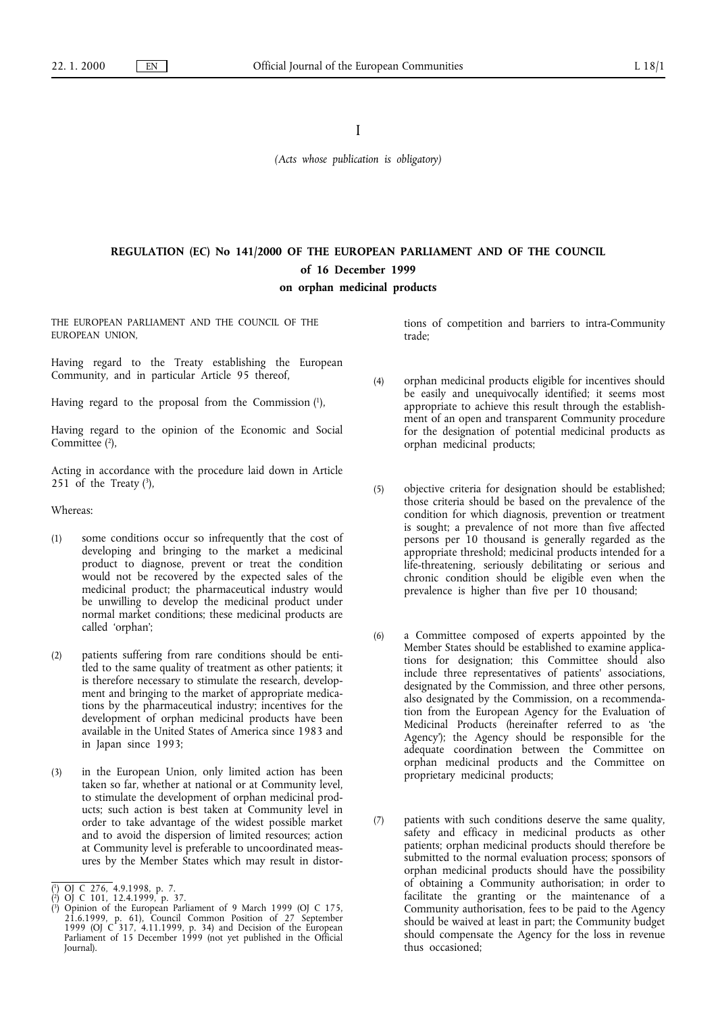I

*(Acts whose publication is obligatory)*

# **REGULATION (EC) No 141/2000 OF THE EUROPEAN PARLIAMENT AND OF THE COUNCIL of 16 December 1999**

# **on orphan medicinal products**

THE EUROPEAN PARLIAMENT AND THE COUNCIL OF THE EUROPEAN UNION,

Having regard to the Treaty establishing the European Community, and in particular Article 95 thereof,

Having regard to the proposal from the Commission  $(1)$ ,

Having regard to the opinion of the Economic and Social Committee<sup>(2)</sup>,

Acting in accordance with the procedure laid down in Article 251 of the Treaty  $(3)$ ,

Whereas:

- (1) some conditions occur so infrequently that the cost of developing and bringing to the market a medicinal product to diagnose, prevent or treat the condition would not be recovered by the expected sales of the medicinal product; the pharmaceutical industry would be unwilling to develop the medicinal product under normal market conditions; these medicinal products are called 'orphan';
- (2) patients suffering from rare conditions should be entitled to the same quality of treatment as other patients; it is therefore necessary to stimulate the research, development and bringing to the market of appropriate medications by the pharmaceutical industry; incentives for the development of orphan medicinal products have been available in the United States of America since 1983 and in Japan since 1993;
- (3) in the European Union, only limited action has been taken so far, whether at national or at Community level, to stimulate the development of orphan medicinal products; such action is best taken at Community level in order to take advantage of the widest possible market and to avoid the dispersion of limited resources; action at Community level is preferable to uncoordinated measures by the Member States which may result in distor-

tions of competition and barriers to intra-Community trade;

- (4) orphan medicinal products eligible for incentives should be easily and unequivocally identified; it seems most appropriate to achieve this result through the establishment of an open and transparent Community procedure for the designation of potential medicinal products as orphan medicinal products;
- (5) objective criteria for designation should be established; those criteria should be based on the prevalence of the condition for which diagnosis, prevention or treatment is sought; a prevalence of not more than five affected persons per 10 thousand is generally regarded as the appropriate threshold; medicinal products intended for a life-threatening, seriously debilitating or serious and chronic condition should be eligible even when the prevalence is higher than five per 10 thousand;
- (6) a Committee composed of experts appointed by the Member States should be established to examine applications for designation; this Committee should also include three representatives of patients' associations, designated by the Commission, and three other persons, also designated by the Commission, on a recommendation from the European Agency for the Evaluation of Medicinal Products (hereinafter referred to as 'the Agency'); the Agency should be responsible for the adequate coordination between the Committee on orphan medicinal products and the Committee on proprietary medicinal products;
- (7) patients with such conditions deserve the same quality, safety and efficacy in medicinal products as other patients; orphan medicinal products should therefore be submitted to the normal evaluation process; sponsors of orphan medicinal products should have the possibility of obtaining a Community authorisation; in order to facilitate the granting or the maintenance of a Community authorisation, fees to be paid to the Agency should be waived at least in part; the Community budget should compensate the Agency for the loss in revenue thus occasioned;

<sup>(</sup> 1) OJ C 276, 4.9.1998, p. 7.

<sup>(</sup> 2) OJ C 101, 12.4.1999, p. 37.

<sup>(</sup> 3) Opinion of the European Parliament of 9 March 1999 (OJ C 175, 21.6.1999, p. 61), Council Common Position of 27 September 1999 (OJ C 317, 4.11.1999, p. 34) and Decision of the European Parliament of 15 December 1999 (not yet published in the Official Journal).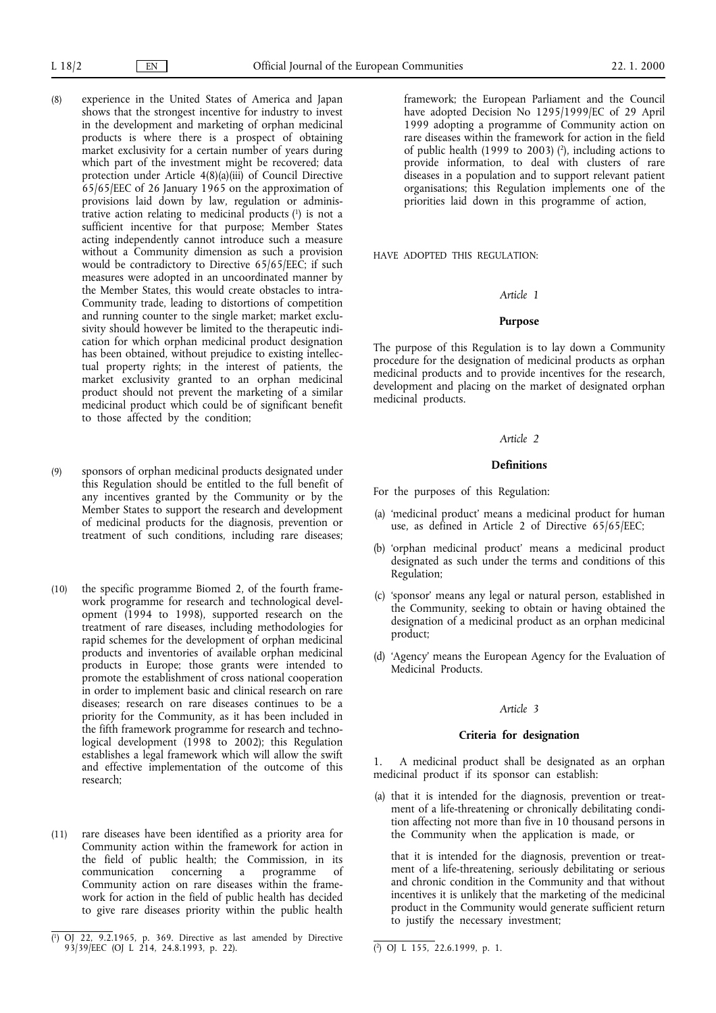- (8) experience in the United States of America and Japan shows that the strongest incentive for industry to invest in the development and marketing of orphan medicinal products is where there is a prospect of obtaining market exclusivity for a certain number of years during which part of the investment might be recovered; data protection under Article 4(8)(a)(iii) of Council Directive 65/65/EEC of 26 January 1965 on the approximation of provisions laid down by law, regulation or administrative action relating to medicinal products (1) is not a sufficient incentive for that purpose; Member States acting independently cannot introduce such a measure without a Community dimension as such a provision would be contradictory to Directive 65/65/EEC; if such measures were adopted in an uncoordinated manner by the Member States, this would create obstacles to intra-Community trade, leading to distortions of competition and running counter to the single market; market exclusivity should however be limited to the therapeutic indication for which orphan medicinal product designation has been obtained, without prejudice to existing intellectual property rights; in the interest of patients, the market exclusivity granted to an orphan medicinal product should not prevent the marketing of a similar medicinal product which could be of significant benefit to those affected by the condition;
- (9) sponsors of orphan medicinal products designated under this Regulation should be entitled to the full benefit of any incentives granted by the Community or by the Member States to support the research and development of medicinal products for the diagnosis, prevention or treatment of such conditions, including rare diseases;
- (10) the specific programme Biomed 2, of the fourth framework programme for research and technological development (1994 to 1998), supported research on the treatment of rare diseases, including methodologies for rapid schemes for the development of orphan medicinal products and inventories of available orphan medicinal products in Europe; those grants were intended to promote the establishment of cross national cooperation in order to implement basic and clinical research on rare diseases; research on rare diseases continues to be a priority for the Community, as it has been included in the fifth framework programme for research and technological development (1998 to 2002); this Regulation establishes a legal framework which will allow the swift and effective implementation of the outcome of this research;
- (11) rare diseases have been identified as a priority area for Community action within the framework for action in the field of public health; the Commission, in its communication concerning a programme of communication concerning a programme of Community action on rare diseases within the framework for action in the field of public health has decided to give rare diseases priority within the public health

framework; the European Parliament and the Council have adopted Decision No 1295/1999/EC of 29 April 1999 adopting a programme of Community action on rare diseases within the framework for action in the field of public health (1999 to 2003) (2), including actions to provide information, to deal with clusters of rare diseases in a population and to support relevant patient organisations; this Regulation implements one of the priorities laid down in this programme of action,

HAVE ADOPTED THIS REGULATION:

#### *Article 1*

#### **Purpose**

The purpose of this Regulation is to lay down a Community procedure for the designation of medicinal products as orphan medicinal products and to provide incentives for the research, development and placing on the market of designated orphan medicinal products.

#### *Article 2*

#### **Definitions**

For the purposes of this Regulation:

- (a) 'medicinal product' means a medicinal product for human use, as defined in Article 2 of Directive 65/65/EEC;
- (b) 'orphan medicinal product' means a medicinal product designated as such under the terms and conditions of this Regulation;
- (c) 'sponsor' means any legal or natural person, established in the Community, seeking to obtain or having obtained the designation of a medicinal product as an orphan medicinal product;
- (d) 'Agency' means the European Agency for the Evaluation of Medicinal Products.

#### *Article 3*

#### **Criteria for designation**

1. A medicinal product shall be designated as an orphan medicinal product if its sponsor can establish:

(a) that it is intended for the diagnosis, prevention or treatment of a life-threatening or chronically debilitating condition affecting not more than five in 10 thousand persons in the Community when the application is made, or

that it is intended for the diagnosis, prevention or treatment of a life-threatening, seriously debilitating or serious and chronic condition in the Community and that without incentives it is unlikely that the marketing of the medicinal product in the Community would generate sufficient return to justify the necessary investment;

<sup>(</sup> 1) OJ 22, 9.2.1965, p. 369. Directive as last amended by Directive 93/39/EEC (OJ L 214, 24.8.1993, p. 22). (2) OJ L 155, 22.6.1999, p. 1.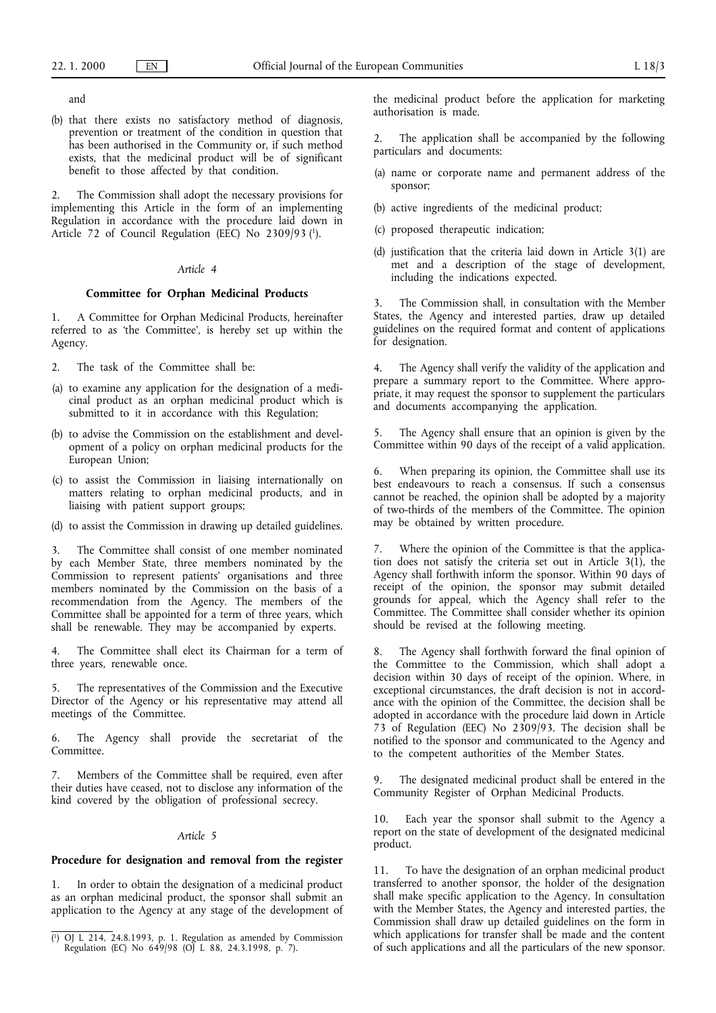and

(b) that there exists no satisfactory method of diagnosis, prevention or treatment of the condition in question that has been authorised in the Community or, if such method exists, that the medicinal product will be of significant benefit to those affected by that condition.

2. The Commission shall adopt the necessary provisions for implementing this Article in the form of an implementing Regulation in accordance with the procedure laid down in Article 72 of Council Regulation (EEC) No 2309/93 (1).

## *Article 4*

#### **Committee for Orphan Medicinal Products**

1. A Committee for Orphan Medicinal Products, hereinafter referred to as 'the Committee', is hereby set up within the Agency.

2. The task of the Committee shall be:

- (a) to examine any application for the designation of a medicinal product as an orphan medicinal product which is submitted to it in accordance with this Regulation;
- (b) to advise the Commission on the establishment and development of a policy on orphan medicinal products for the European Union;
- (c) to assist the Commission in liaising internationally on matters relating to orphan medicinal products, and in liaising with patient support groups;
- (d) to assist the Commission in drawing up detailed guidelines.

3. The Committee shall consist of one member nominated by each Member State, three members nominated by the Commission to represent patients' organisations and three members nominated by the Commission on the basis of a recommendation from the Agency. The members of the Committee shall be appointed for a term of three years, which shall be renewable. They may be accompanied by experts.

4. The Committee shall elect its Chairman for a term of three years, renewable once.

The representatives of the Commission and the Executive Director of the Agency or his representative may attend all meetings of the Committee.

6. The Agency shall provide the secretariat of the Committee.

7. Members of the Committee shall be required, even after their duties have ceased, not to disclose any information of the kind covered by the obligation of professional secrecy.

## *Article 5*

#### **Procedure for designation and removal from the register**

1. In order to obtain the designation of a medicinal product as an orphan medicinal product, the sponsor shall submit an application to the Agency at any stage of the development of the medicinal product before the application for marketing authorisation is made.

The application shall be accompanied by the following particulars and documents:

- (a) name or corporate name and permanent address of the sponsor;
- (b) active ingredients of the medicinal product;
- (c) proposed therapeutic indication;
- (d) justification that the criteria laid down in Article 3(1) are met and a description of the stage of development, including the indications expected.

3. The Commission shall, in consultation with the Member States, the Agency and interested parties, draw up detailed guidelines on the required format and content of applications for designation.

4. The Agency shall verify the validity of the application and prepare a summary report to the Committee. Where appropriate, it may request the sponsor to supplement the particulars and documents accompanying the application.

5. The Agency shall ensure that an opinion is given by the Committee within 90 days of the receipt of a valid application.

6. When preparing its opinion, the Committee shall use its best endeavours to reach a consensus. If such a consensus cannot be reached, the opinion shall be adopted by a majority of two-thirds of the members of the Committee. The opinion may be obtained by written procedure.

7. Where the opinion of the Committee is that the application does not satisfy the criteria set out in Article  $3(1)$ , the Agency shall forthwith inform the sponsor. Within 90 days of receipt of the opinion, the sponsor may submit detailed grounds for appeal, which the Agency shall refer to the Committee. The Committee shall consider whether its opinion should be revised at the following meeting.

8. The Agency shall forthwith forward the final opinion of the Committee to the Commission, which shall adopt a decision within 30 days of receipt of the opinion. Where, in exceptional circumstances, the draft decision is not in accordance with the opinion of the Committee, the decision shall be adopted in accordance with the procedure laid down in Article 73 of Regulation (EEC) No 2309/93. The decision shall be notified to the sponsor and communicated to the Agency and to the competent authorities of the Member States.

9. The designated medicinal product shall be entered in the Community Register of Orphan Medicinal Products.

10. Each year the sponsor shall submit to the Agency a report on the state of development of the designated medicinal product.

11. To have the designation of an orphan medicinal product transferred to another sponsor, the holder of the designation shall make specific application to the Agency. In consultation with the Member States, the Agency and interested parties, the Commission shall draw up detailed guidelines on the form in which applications for transfer shall be made and the content of such applications and all the particulars of the new sponsor. (i) OJ L 214, 24.8.1993, p. 1. Regulation as amended by Commission which applications for transfer shall be made and the content<br>Regulation (EC) No 649/98 (OJ L 88, 24.3.1998, p. 7). of such applications and all the partic

Regulation (EC) No 649/98 (OJ L 88, 24.3.1998, p. 7).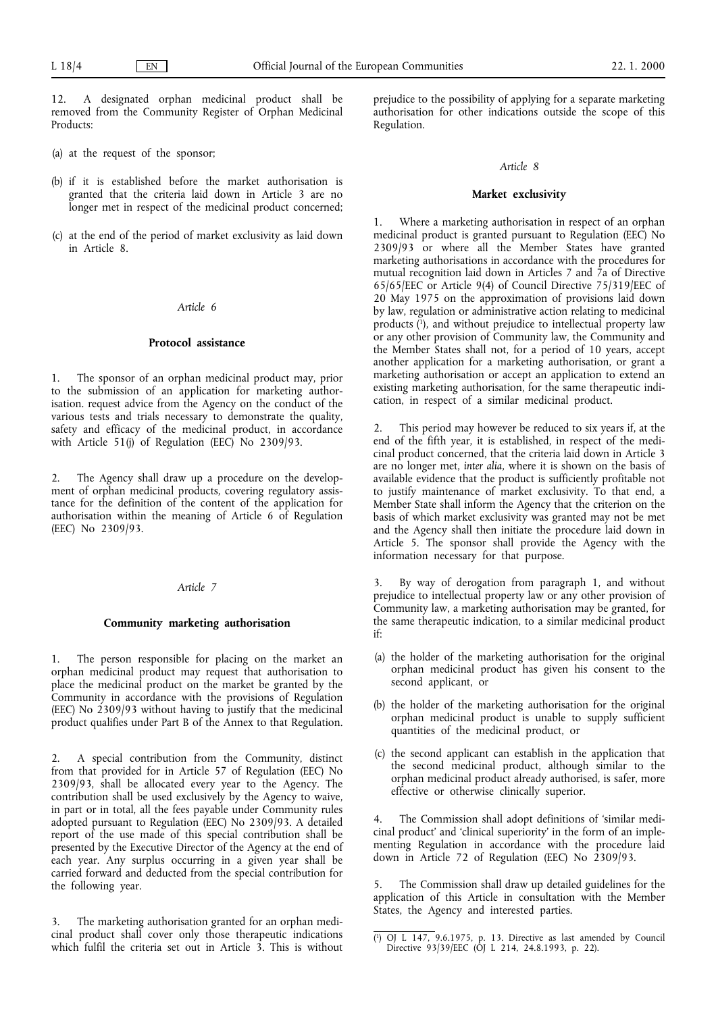12. A designated orphan medicinal product shall be removed from the Community Register of Orphan Medicinal Products:

- (a) at the request of the sponsor;
- (b) if it is established before the market authorisation is granted that the criteria laid down in Article 3 are no longer met in respect of the medicinal product concerned;
- (c) at the end of the period of market exclusivity as laid down in Article 8.

#### *Article 6*

#### **Protocol assistance**

1. The sponsor of an orphan medicinal product may, prior to the submission of an application for marketing authorisation. request advice from the Agency on the conduct of the various tests and trials necessary to demonstrate the quality, safety and efficacy of the medicinal product, in accordance with Article 51(j) of Regulation (EEC) No 2309/93.

2. The Agency shall draw up a procedure on the development of orphan medicinal products, covering regulatory assistance for the definition of the content of the application for authorisation within the meaning of Article 6 of Regulation (EEC) No 2309/93.

## *Article 7*

## **Community marketing authorisation**

1. The person responsible for placing on the market an orphan medicinal product may request that authorisation to place the medicinal product on the market be granted by the Community in accordance with the provisions of Regulation (EEC) No 2309/93 without having to justify that the medicinal product qualifies under Part B of the Annex to that Regulation.

2. A special contribution from the Community, distinct from that provided for in Article 57 of Regulation (EEC) No 2309/93, shall be allocated every year to the Agency. The contribution shall be used exclusively by the Agency to waive, in part or in total, all the fees payable under Community rules adopted pursuant to Regulation (EEC) No 2309/93. A detailed report of the use made of this special contribution shall be presented by the Executive Director of the Agency at the end of each year. Any surplus occurring in a given year shall be carried forward and deducted from the special contribution for the following year.

3. The marketing authorisation granted for an orphan medicinal product shall cover only those therapeutic indications which fulfil the criteria set out in Article 3. This is without prejudice to the possibility of applying for a separate marketing authorisation for other indications outside the scope of this Regulation.

#### *Article 8*

#### **Market exclusivity**

1. Where a marketing authorisation in respect of an orphan medicinal product is granted pursuant to Regulation (EEC) No 2309/93 or where all the Member States have granted marketing authorisations in accordance with the procedures for mutual recognition laid down in Articles 7 and 7a of Directive 65/65/EEC or Article 9(4) of Council Directive 75/319/EEC of 20 May 1975 on the approximation of provisions laid down by law, regulation or administrative action relating to medicinal products  $(1)$ , and without prejudice to intellectual property law or any other provision of Community law, the Community and the Member States shall not, for a period of 10 years, accept another application for a marketing authorisation, or grant a marketing authorisation or accept an application to extend an existing marketing authorisation, for the same therapeutic indication, in respect of a similar medicinal product.

2. This period may however be reduced to six years if, at the end of the fifth year, it is established, in respect of the medicinal product concerned, that the criteria laid down in Article 3 are no longer met, *inter alia*, where it is shown on the basis of available evidence that the product is sufficiently profitable not to justify maintenance of market exclusivity. To that end, a Member State shall inform the Agency that the criterion on the basis of which market exclusivity was granted may not be met and the Agency shall then initiate the procedure laid down in Article 5. The sponsor shall provide the Agency with the information necessary for that purpose.

3. By way of derogation from paragraph 1, and without prejudice to intellectual property law or any other provision of Community law, a marketing authorisation may be granted, for the same therapeutic indication, to a similar medicinal product if:

- (a) the holder of the marketing authorisation for the original orphan medicinal product has given his consent to the second applicant, or
- (b) the holder of the marketing authorisation for the original orphan medicinal product is unable to supply sufficient quantities of the medicinal product, or
- (c) the second applicant can establish in the application that the second medicinal product, although similar to the orphan medicinal product already authorised, is safer, more effective or otherwise clinically superior.

4. The Commission shall adopt definitions of 'similar medicinal product' and 'clinical superiority' in the form of an implementing Regulation in accordance with the procedure laid down in Article 72 of Regulation (EEC) No 2309/93.

5. The Commission shall draw up detailed guidelines for the application of this Article in consultation with the Member States, the Agency and interested parties.

<sup>(</sup> 1) OJ L 147, 9.6.1975, p. 13. Directive as last amended by Council Directive 93/39/EEC (OJ L 214, 24.8.1993, p. 22).